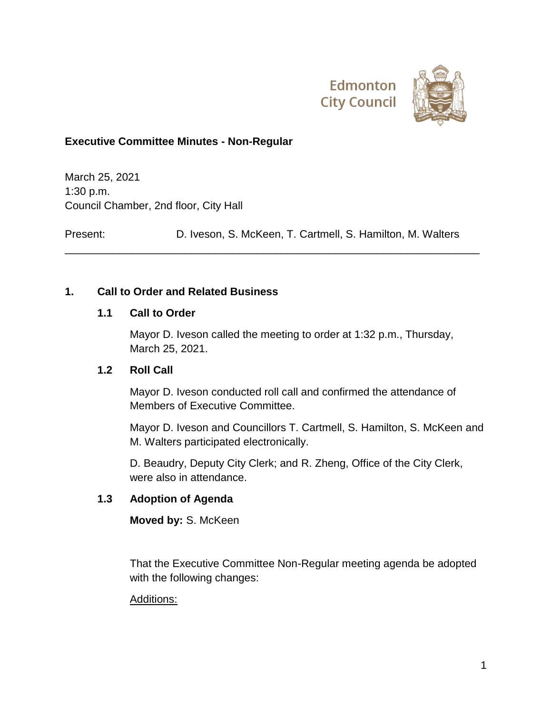



## **Executive Committee Minutes - Non-Regular**

March 25, 2021 1:30 p.m. Council Chamber, 2nd floor, City Hall

Present: D. Iveson, S. McKeen, T. Cartmell, S. Hamilton, M. Walters

\_\_\_\_\_\_\_\_\_\_\_\_\_\_\_\_\_\_\_\_\_\_\_\_\_\_\_\_\_\_\_\_\_\_\_\_\_\_\_\_\_\_\_\_\_\_\_\_\_\_\_\_\_\_\_\_\_\_\_\_\_\_\_\_\_\_\_\_\_

## **1. Call to Order and Related Business**

### **1.1 Call to Order**

Mayor D. Iveson called the meeting to order at 1:32 p.m., Thursday, March 25, 2021.

### **1.2 Roll Call**

Mayor D. Iveson conducted roll call and confirmed the attendance of Members of Executive Committee.

Mayor D. Iveson and Councillors T. Cartmell, S. Hamilton, S. McKeen and M. Walters participated electronically.

D. Beaudry, Deputy City Clerk; and R. Zheng, Office of the City Clerk, were also in attendance.

# **1.3 Adoption of Agenda**

**Moved by:** S. McKeen

That the Executive Committee Non-Regular meeting agenda be adopted with the following changes:

### Additions: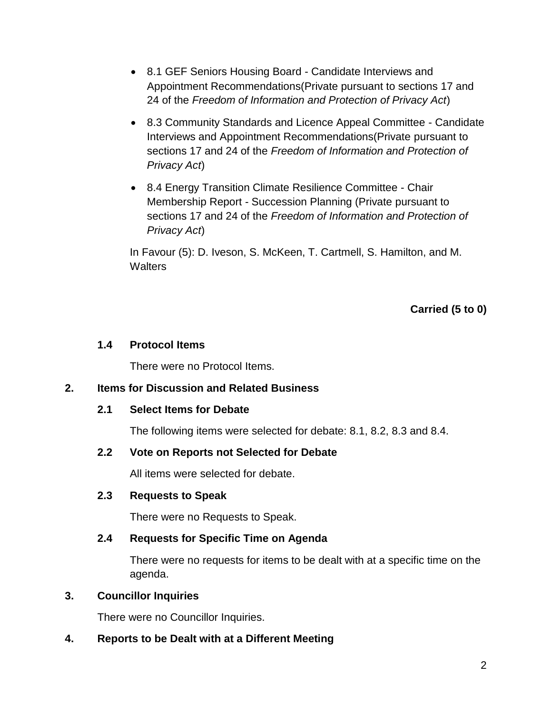- 8.1 GEF Seniors Housing Board Candidate Interviews and Appointment Recommendations(Private pursuant to sections 17 and 24 of the *Freedom of Information and Protection of Privacy Act*)
- 8.3 Community Standards and Licence Appeal Committee Candidate Interviews and Appointment Recommendations(Private pursuant to sections 17 and 24 of the *Freedom of Information and Protection of Privacy Act*)
- 8.4 Energy Transition Climate Resilience Committee Chair Membership Report - Succession Planning (Private pursuant to sections 17 and 24 of the *Freedom of Information and Protection of Privacy Act*)

In Favour (5): D. Iveson, S. McKeen, T. Cartmell, S. Hamilton, and M. **Walters** 

**Carried (5 to 0)**

# **1.4 Protocol Items**

There were no Protocol Items.

# **2. Items for Discussion and Related Business**

### **2.1 Select Items for Debate**

The following items were selected for debate: 8.1, 8.2, 8.3 and 8.4.

### **2.2 Vote on Reports not Selected for Debate**

All items were selected for debate.

### **2.3 Requests to Speak**

There were no Requests to Speak.

# **2.4 Requests for Specific Time on Agenda**

There were no requests for items to be dealt with at a specific time on the agenda.

### **3. Councillor Inquiries**

There were no Councillor Inquiries.

# **4. Reports to be Dealt with at a Different Meeting**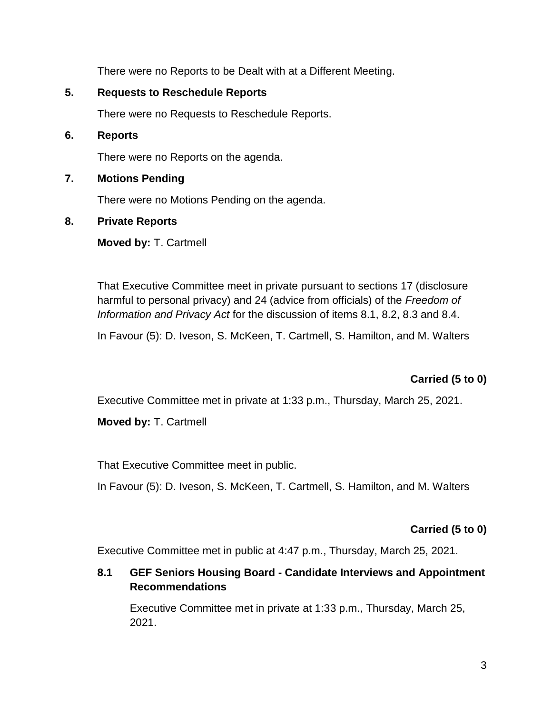There were no Reports to be Dealt with at a Different Meeting.

# **5. Requests to Reschedule Reports**

There were no Requests to Reschedule Reports.

## **6. Reports**

There were no Reports on the agenda.

## **7. Motions Pending**

There were no Motions Pending on the agenda.

## **8. Private Reports**

**Moved by:** T. Cartmell

That Executive Committee meet in private pursuant to sections 17 (disclosure harmful to personal privacy) and 24 (advice from officials) of the *Freedom of Information and Privacy Act* for the discussion of items 8.1, 8.2, 8.3 and 8.4.

In Favour (5): D. Iveson, S. McKeen, T. Cartmell, S. Hamilton, and M. Walters

# **Carried (5 to 0)**

Executive Committee met in private at 1:33 p.m., Thursday, March 25, 2021.

**Moved by:** T. Cartmell

That Executive Committee meet in public.

In Favour (5): D. Iveson, S. McKeen, T. Cartmell, S. Hamilton, and M. Walters

# **Carried (5 to 0)**

Executive Committee met in public at 4:47 p.m., Thursday, March 25, 2021.

# **8.1 GEF Seniors Housing Board - Candidate Interviews and Appointment Recommendations**

Executive Committee met in private at 1:33 p.m., Thursday, March 25, 2021.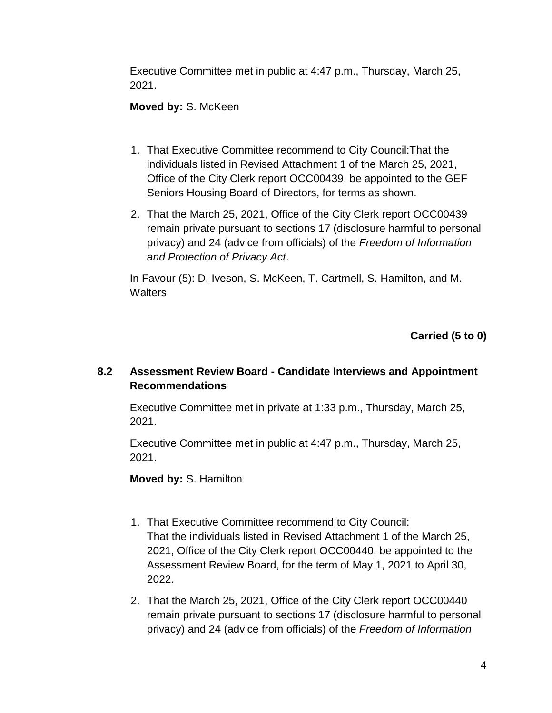Executive Committee met in public at 4:47 p.m., Thursday, March 25, 2021.

# **Moved by:** S. McKeen

- 1. That Executive Committee recommend to City Council:That the individuals listed in Revised Attachment 1 of the March 25, 2021, Office of the City Clerk report OCC00439, be appointed to the GEF Seniors Housing Board of Directors, for terms as shown.
- 2. That the March 25, 2021, Office of the City Clerk report OCC00439 remain private pursuant to sections 17 (disclosure harmful to personal privacy) and 24 (advice from officials) of the *Freedom of Information and Protection of Privacy Act*.

In Favour (5): D. Iveson, S. McKeen, T. Cartmell, S. Hamilton, and M. **Walters** 

**Carried (5 to 0)**

# **8.2 Assessment Review Board - Candidate Interviews and Appointment Recommendations**

Executive Committee met in private at 1:33 p.m., Thursday, March 25, 2021.

Executive Committee met in public at 4:47 p.m., Thursday, March 25, 2021.

**Moved by:** S. Hamilton

- 1. That Executive Committee recommend to City Council: That the individuals listed in Revised Attachment 1 of the March 25, 2021, Office of the City Clerk report OCC00440, be appointed to the Assessment Review Board, for the term of May 1, 2021 to April 30, 2022.
- 2. That the March 25, 2021, Office of the City Clerk report OCC00440 remain private pursuant to sections 17 (disclosure harmful to personal privacy) and 24 (advice from officials) of the *Freedom of Information*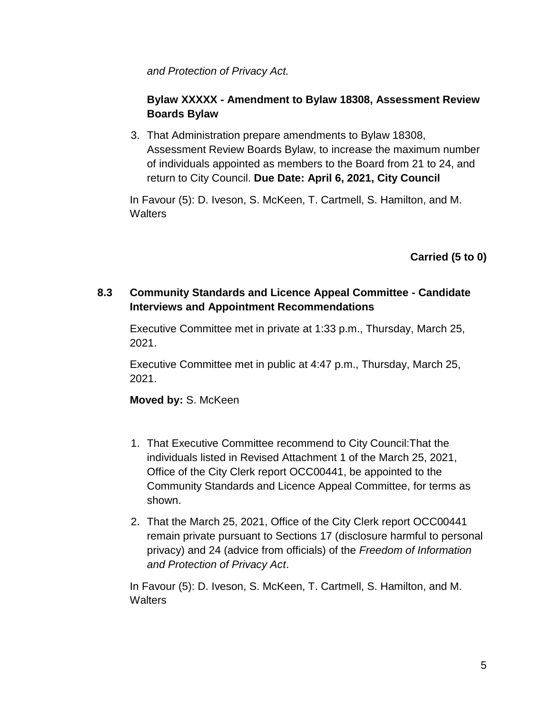*and Protection of Privacy Act.*

# **Bylaw XXXXX - Amendment to Bylaw 18308, Assessment Review Boards Bylaw**

3. That Administration prepare amendments to Bylaw 18308, Assessment Review Boards Bylaw, to increase the maximum number of individuals appointed as members to the Board from 21 to 24, and return to City Council. **Due Date: April 6, 2021, City Council**

In Favour (5): D. Iveson, S. McKeen, T. Cartmell, S. Hamilton, and M. **Walters** 

**Carried (5 to 0)**

# **8.3 Community Standards and Licence Appeal Committee - Candidate Interviews and Appointment Recommendations**

Executive Committee met in private at 1:33 p.m., Thursday, March 25, 2021.

Executive Committee met in public at 4:47 p.m., Thursday, March 25, 2021.

# **Moved by:** S. McKeen

- 1. That Executive Committee recommend to City Council:That the individuals listed in Revised Attachment 1 of the March 25, 2021, Office of the City Clerk report OCC00441, be appointed to the Community Standards and Licence Appeal Committee, for terms as shown.
- 2. That the March 25, 2021, Office of the City Clerk report OCC00441 remain private pursuant to Sections 17 (disclosure harmful to personal privacy) and 24 (advice from officials) of the *Freedom of Information and Protection of Privacy Act*.

In Favour (5): D. Iveson, S. McKeen, T. Cartmell, S. Hamilton, and M. **Walters**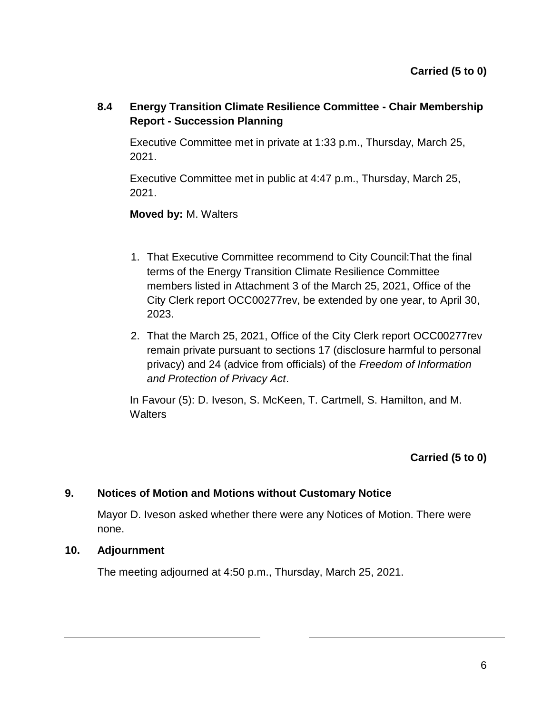**8.4 Energy Transition Climate Resilience Committee - Chair Membership Report - Succession Planning** 

Executive Committee met in private at 1:33 p.m., Thursday, March 25, 2021.

Executive Committee met in public at 4:47 p.m., Thursday, March 25, 2021.

**Moved by:** M. Walters

- 1. That Executive Committee recommend to City Council:That the final terms of the Energy Transition Climate Resilience Committee members listed in Attachment 3 of the March 25, 2021, Office of the City Clerk report OCC00277rev, be extended by one year, to April 30, 2023.
- 2. That the March 25, 2021, Office of the City Clerk report OCC00277rev remain private pursuant to sections 17 (disclosure harmful to personal privacy) and 24 (advice from officials) of the *Freedom of Information and Protection of Privacy Act*.

In Favour (5): D. Iveson, S. McKeen, T. Cartmell, S. Hamilton, and M. **Walters** 

**Carried (5 to 0)**

# **9. Notices of Motion and Motions without Customary Notice**

Mayor D. Iveson asked whether there were any Notices of Motion. There were none.

### **10. Adjournment**

The meeting adjourned at 4:50 p.m., Thursday, March 25, 2021.